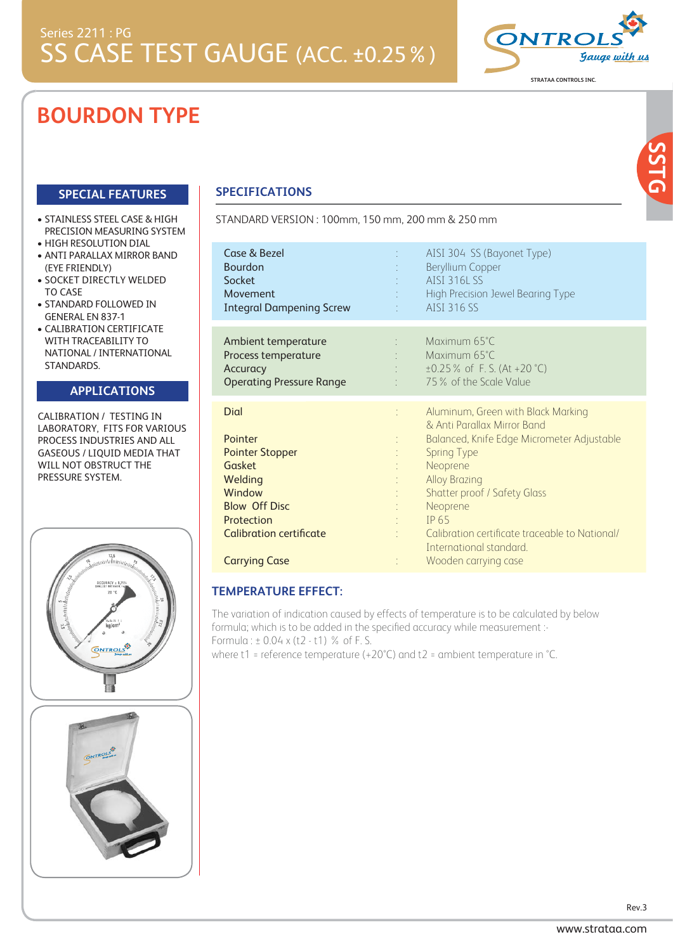# **BOURDON TYPE**

## **SPECIAL FEATURES**

- STAINLESS STEEL CASE & HIGH PRECISION MEASURING SYSTEM
- . HIGH RESOLUTION DIAL
- . ANTI PARALLAX MIRROR BAND (EYE FRIENDLY)
- SOCKET DIRECTLY WELDED TO CASE
- STANDARD FOLLOWED IN GENERAL EN 837-1
- CALIBRATION CERTIFICATE WITH TRACEABILITY TO NATIONAL / INTERNATIONAL STANDARDS.

#### **APPLICATIONS APPLICATIONS**

CALIBRATION / TESTING IN LABORATORY, FITS FOR VARIOUS PROCESS INDUSTRIES AND ALL GASEOUS / LIQUID MEDIA THAT WILL NOT OBSTRUCT THE PRESSURE SYSTEM.



# **SPECIFICATIONS**

STANDARD VERSION : 100mm, 150 mm, 200 mm & 250 mm

| Case & Bezel<br><b>Bourdon</b><br>Socket<br>Movement<br><b>Integral Dampening Screw</b>                                                                 | AISI 304 SS (Bayonet Type)<br>t.<br>Beryllium Copper<br><b>AISI 316L SS</b><br>High Precision Jewel Bearing Type<br>AISI 316 SS                                                                                                                                                         |
|---------------------------------------------------------------------------------------------------------------------------------------------------------|-----------------------------------------------------------------------------------------------------------------------------------------------------------------------------------------------------------------------------------------------------------------------------------------|
| Ambient temperature<br>Process temperature<br>Accuracy<br><b>Operating Pressure Range</b>                                                               | Maximum 65°C<br>÷<br>Maximum 65°C<br>$\pm 0.25$ % of F.S. (At +20 °C)<br>75% of the Scale Value                                                                                                                                                                                         |
| Dial<br>Pointer<br><b>Pointer Stopper</b><br><b>Gasket</b><br>Welding<br>Window<br><b>Blow Off Disc</b><br>Protection<br><b>Calibration certificate</b> | Aluminum, Green with Black Marking<br>& Anti Parallax Mirror Band<br>Balanced, Knife Edge Micrometer Adjustable<br><b>Spring Type</b><br>Neoprene<br><b>Alloy Brazing</b><br><b>Shatter proof / Safety Glass</b><br>Neoprene<br>IP 65<br>Calibration certificate traceable to National/ |
|                                                                                                                                                         | International standard.                                                                                                                                                                                                                                                                 |

### **TEMPERATURE EFFECT:**

The variation of indication caused by effects of temperature is to be calculated by below formula; which is to be added in the specified accuracy while measurement :- Formula : ± 0.04 x (t2 - t1) % of F. S.

where t1 = reference temperature (+20°C) and t2 = ambient temperature in °C.

**STRATAA CONTROLS INC.**

**SSTG**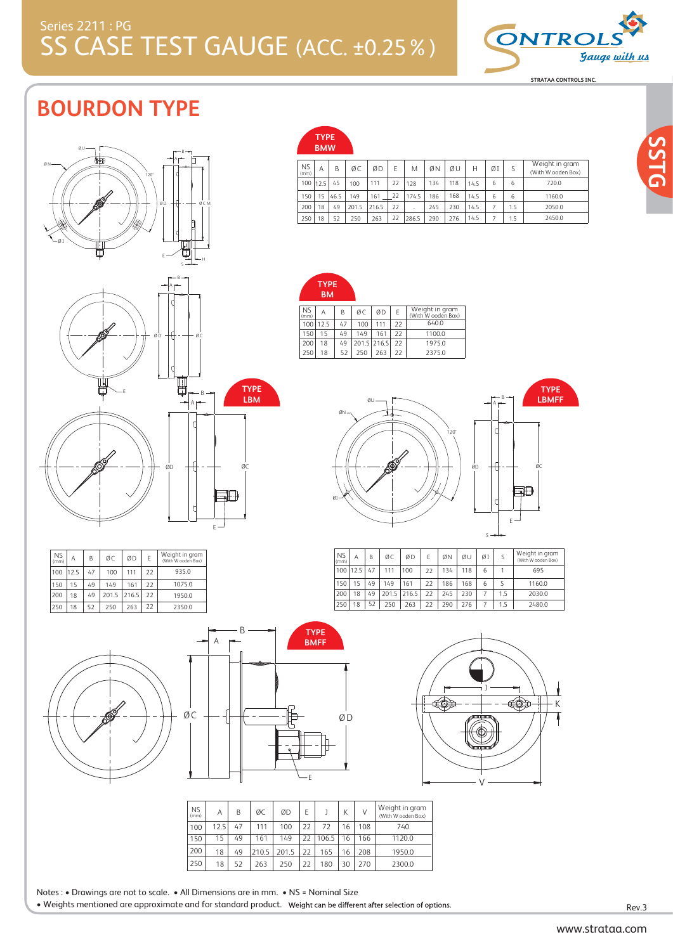## SS CASE TEST GAUGE (ACC. ±0.25%) Series 2211 : PG



# **BOURDON TYPE**



|                   | .<br><b>BMW</b> |      |       |       |    |        |     |     |      |    |     |                                      |
|-------------------|-----------------|------|-------|-------|----|--------|-----|-----|------|----|-----|--------------------------------------|
| <b>NS</b><br>(mm) | Α               | B    | ØC    | ØD    | F  | M      | ØΝ  | ØU  | Н    | ØI | S   | Weight in gram<br>(With W ooden Box) |
| 100               | 112.5           | 45   | 100   | 111   | 22 | 128    | 134 | 118 | 14.5 | 6  | 6   | 720.0                                |
| 150               | 15              | 46.5 | 149   | 161   | 22 | 174.5  | 186 | 168 | 14.5 | 6  | 6   | 1160.0                               |
| 200               | 18              | 49   | 201.5 | 216.5 | 22 | $\sim$ | 245 | 230 | 14.5 | 7  | 1.5 | 2050.0                               |
| 250               | 18              | 52   | 250   | 263   | 22 | 286.5  | 290 | 276 | 14.5 | 7  | 1.5 | 2450.0                               |

1100.0 1975.0  $6400$ 





| <b>NS</b><br>(mm) | Α    | B  | ØC    | ØD    | E  | Weight in gram<br>(With W ooden Box) |
|-------------------|------|----|-------|-------|----|--------------------------------------|
| 100               | 12.5 | 47 | 100   | 111   | 22 | 935.0                                |
| 150               | 15   | 49 | 149   | 161   | 22 | 1075.0                               |
| 200               | 18   | 49 | 201.5 | 216.5 | 22 | 1950.0                               |
| 250               | 18   | 52 | 250   | 263   | 22 | 2350.0                               |



|    | . . |                  |                 | <b>DIVIL L</b> |    |
|----|-----|------------------|-----------------|----------------|----|
| ØC |     | <u>esakasa</u> r | <b>CONSUMER</b> |                | ØD |
|    |     |                  |                 | $-F$           |    |

| ī<br>ī                           | K |
|----------------------------------|---|
| п<br><b>ammapumn</b><br>∿աապասամ |   |
|                                  |   |

A B

120°

A | B | ØC | ØD | E | ØN | ØU | ØI | S

 $\frac{22}{22}$ 22

200 | 18 | 49 | 201.5 | 216.5 | 22 | 245 | 230 | 7 | 1.5

186 134 Ø N

250 18 52 250 263 22 290 276 7 1.5 2480.0

ØN

150 15 49 149 161 22<br>200 18 49 201.5 216.5 22 100 12.5 47 100 111 22

 $200 \mid 18 \mid 49 \mid 201.5 \mid 216.5$ 

NS (mm) **TRA BM**

ØI

150 100

**TYPE**

NS (mm)

> 15 12.5 49 47 149 111 161 100

ØU

 $\alpha c \mid \alpha D$ 

 $A \begin{array}{|c|c|c|c|c|} \hline B & \varnothing C & \varnothing D & E & \text{Weight in gram} \\ \hline \end{array}$  (With W ooden Box)

 $\begin{array}{|c|c|c|c|c|c|c|c|c|c|c|} \hline 18 & 52 & 250 & 263 & 22 & 2375.0 \ \hline \end{array}$ 

ØD ØC

E

5Ð

1160.0 695 2030.0

Weight in gram (With W ooden Box)

**TYPE LBMFF**

S

6 6 5 1

168 118

| <b>NS</b><br>(mm) | Α    | B  | ØC    | ØD    | F  |       | K  | ν   | Weight in gram<br>(With W ooden Box) |
|-------------------|------|----|-------|-------|----|-------|----|-----|--------------------------------------|
| 100               | 12.5 | 47 | 111   | 100   | 22 | 72    | 16 | 108 | 740                                  |
| 150               | 15   | 49 | 161   | 149   | 22 | 106.5 | 16 | 166 | 1120.0                               |
| 200               | 18   | 49 | 210.5 | 201.5 | 22 | 165   | 16 | 208 | 1950.0                               |
| 250               | 18   | 52 | 263   | 250   | 22 | 180   | 30 | 270 | 2300.0                               |

|  | Notes : • Drawings are not to scale. • All Dimensions are in mm. • NS = Nominal Size |  |
|--|--------------------------------------------------------------------------------------|--|
|  |                                                                                      |  |

A

B

. Weights mentioned are approximate and for standard product. Weight can be different after selection of options.